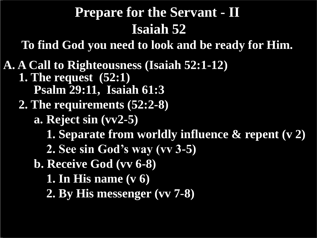## **Prepare for the Servant - II Isaiah 52**

**To find God you need to look and be ready for Him.**

**A. A Call to Righteousness (Isaiah 52:1-12) 1. The request (52:1) Psalm 29:11, Isaiah 61:3 2. The requirements (52:2-8) a. Reject sin (vv2-5) 1. Separate from worldly influence & repent (v 2) 2. See sin God's way (vv 3-5) b. Receive God (vv 6-8) 1. In His name (v 6) 2. By His messenger (vv 7-8)**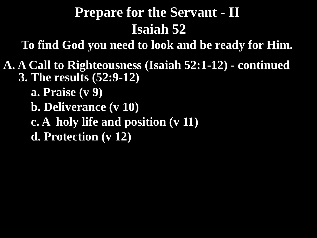### **Prepare for the Servant - II Isaiah 52**

**To find God you need to look and be ready for Him.**

**A. A Call to Righteousness (Isaiah 52:1-12) - continued 3. The results (52:9-12) a. Praise (v 9)**

 **b. Deliverance (v 10)**

 **c. A holy life and position (v 11)**

 **d. Protection (v 12)**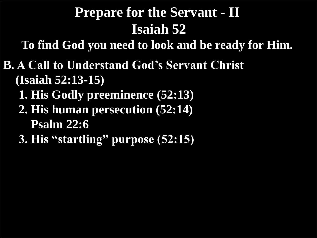## **Prepare for the Servant - II Isaiah 52**

**To find God you need to look and be ready for Him.**

- **B. A Call to Understand God's Servant Christ (Isaiah 52:13-15)**
	- **1. His Godly preeminence (52:13)**
	- **2. His human persecution (52:14) Psalm 22:6**
	- **3. His "startling" purpose (52:15)**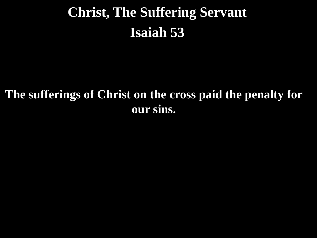# **Christ, The Suffering Servant Isaiah 53**

#### **The sufferings of Christ on the cross paid the penalty for our sins.**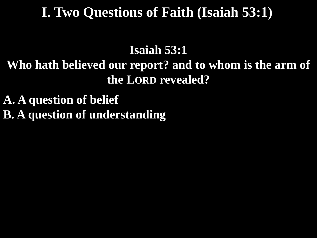#### **I. Two Questions of Faith (Isaiah 53:1)**

#### **Isaiah 53:1 Who hath believed our report? and to whom is the arm of the LORD revealed?**

**A. A question of belief B. A question of understanding**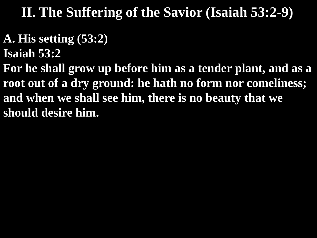#### **A. His setting (53:2)**

**Isaiah 53:2**

**For he shall grow up before him as a tender plant, and as a root out of a dry ground: he hath no form nor comeliness; and when we shall see him, there is no beauty that we should desire him.**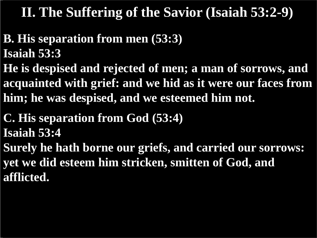- **B. His separation from men (53:3) Isaiah 53:3**
- **He is despised and rejected of men; a man of sorrows, and acquainted with grief: and we hid as it were our faces from him; he was despised, and we esteemed him not.**
- **C. His separation from God (53:4) Isaiah 53:4**
- **Surely he hath borne our griefs, and carried our sorrows: yet we did esteem him stricken, smitten of God, and afflicted.**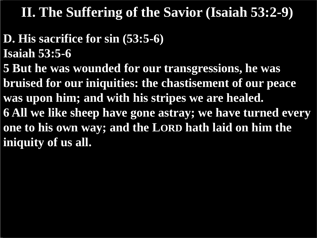- **D. His sacrifice for sin (53:5-6) Isaiah 53:5-6**
- **5 But he was wounded for our transgressions, he was bruised for our iniquities: the chastisement of our peace was upon him; and with his stripes we are healed. 6 All we like sheep have gone astray; we have turned every one to his own way; and the LORD hath laid on him the iniquity of us all.**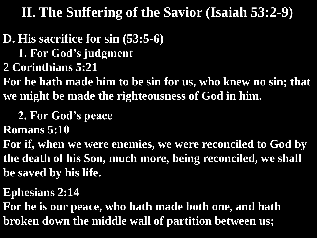**D. His sacrifice for sin (53:5-6) 1. For God's judgment**

**2 Corinthians 5:21**

**For he hath made him to be sin for us, who knew no sin; that we might be made the righteousness of God in him.**

 **2. For God's peace**

**Romans 5:10**

**For if, when we were enemies, we were reconciled to God by the death of his Son, much more, being reconciled, we shall be saved by his life.**

**Ephesians 2:14**

**For he is our peace, who hath made both one, and hath broken down the middle wall of partition between us;**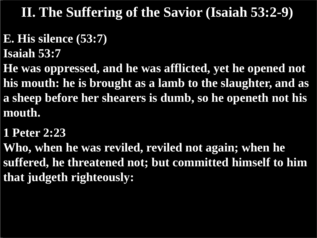# **E. His silence (53:7)**

**Isaiah 53:7**

**He was oppressed, and he was afflicted, yet he opened not his mouth: he is brought as a lamb to the slaughter, and as a sheep before her shearers is dumb, so he openeth not his mouth.**

#### **1 Peter 2:23**

**Who, when he was reviled, reviled not again; when he suffered, he threatened not; but committed himself to him that judgeth righteously:**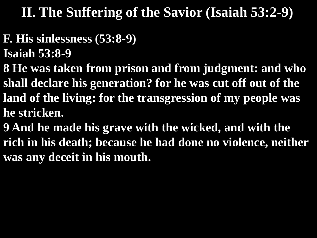- **F. His sinlessness (53:8-9)**
- **Isaiah 53:8-9**
- **8 He was taken from prison and from judgment: and who shall declare his generation? for he was cut off out of the land of the living: for the transgression of my people was he stricken.**
- **9 And he made his grave with the wicked, and with the rich in his death; because he had done no violence, neither was any deceit in his mouth.**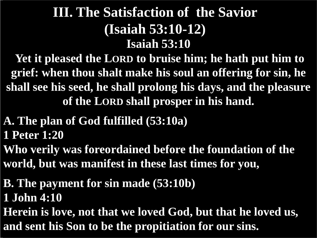#### **Isaiah 53:10 III. The Satisfaction of the Savior (Isaiah 53:10-12)**

**Yet it pleased the LORD to bruise him; he hath put him to grief: when thou shalt make his soul an offering for sin, he shall see his seed, he shall prolong his days, and the pleasure of the LORD shall prosper in his hand.**

- **A. The plan of God fulfilled (53:10a) 1 Peter 1:20**
- **Who verily was foreordained before the foundation of the world, but was manifest in these last times for you,**
- **B. The payment for sin made (53:10b) 1 John 4:10**
- **Herein is love, not that we loved God, but that he loved us, and sent his Son to be the propitiation for our sins.**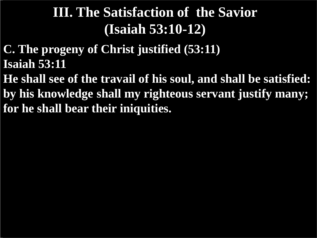# **III. The Satisfaction of the Savior (Isaiah 53:10-12)**

- **C. The progeny of Christ justified (53:11) Isaiah 53:11**
- **He shall see of the travail of his soul, and shall be satisfied: by his knowledge shall my righteous servant justify many; for he shall bear their iniquities.**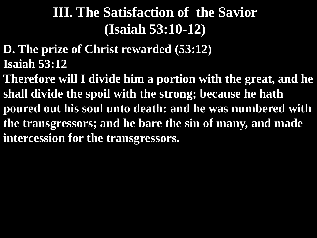# **III. The Satisfaction of the Savior (Isaiah 53:10-12)**

- **D. The prize of Christ rewarded (53:12) Isaiah 53:12**
- **Therefore will I divide him a portion with the great, and he shall divide the spoil with the strong; because he hath poured out his soul unto death: and he was numbered with the transgressors; and he bare the sin of many, and made intercession for the transgressors.**